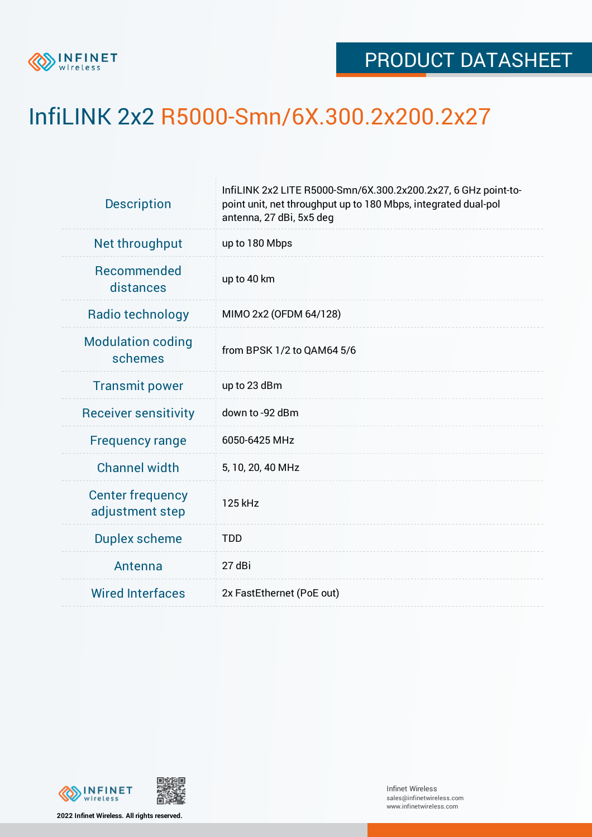

## InfiLINK 2x2 R5000-Smn/6X.300.2x200.2x27

| <b>Description</b>                         | InfiLINK 2x2 LITE R5000-Smn/6X.300.2x200.2x27, 6 GHz point-to-<br>point unit, net throughput up to 180 Mbps, integrated dual-pol<br>antenna, 27 dBi, 5x5 deg |  |  |  |  |
|--------------------------------------------|--------------------------------------------------------------------------------------------------------------------------------------------------------------|--|--|--|--|
| Net throughput                             | up to 180 Mbps                                                                                                                                               |  |  |  |  |
| Recommended<br>distances                   | up to 40 km                                                                                                                                                  |  |  |  |  |
| Radio technology                           | MIMO 2x2 (OFDM 64/128)                                                                                                                                       |  |  |  |  |
| <b>Modulation coding</b><br>schemes        | from BPSK 1/2 to QAM64 5/6                                                                                                                                   |  |  |  |  |
| <b>Transmit power</b>                      | up to 23 dBm                                                                                                                                                 |  |  |  |  |
| <b>Receiver sensitivity</b>                | down to -92 dBm                                                                                                                                              |  |  |  |  |
| <b>Frequency range</b>                     | 6050-6425 MHz                                                                                                                                                |  |  |  |  |
| <b>Channel width</b>                       | 5, 10, 20, 40 MHz                                                                                                                                            |  |  |  |  |
| <b>Center frequency</b><br>adjustment step | 125 kHz                                                                                                                                                      |  |  |  |  |
| <b>Duplex scheme</b>                       | <b>TDD</b>                                                                                                                                                   |  |  |  |  |
| Antenna                                    | 27 dBi                                                                                                                                                       |  |  |  |  |
| <b>Wired Interfaces</b>                    | 2x FastEthernet (PoE out)                                                                                                                                    |  |  |  |  |



**2022 Infinet Wireless. All rights reserved.**

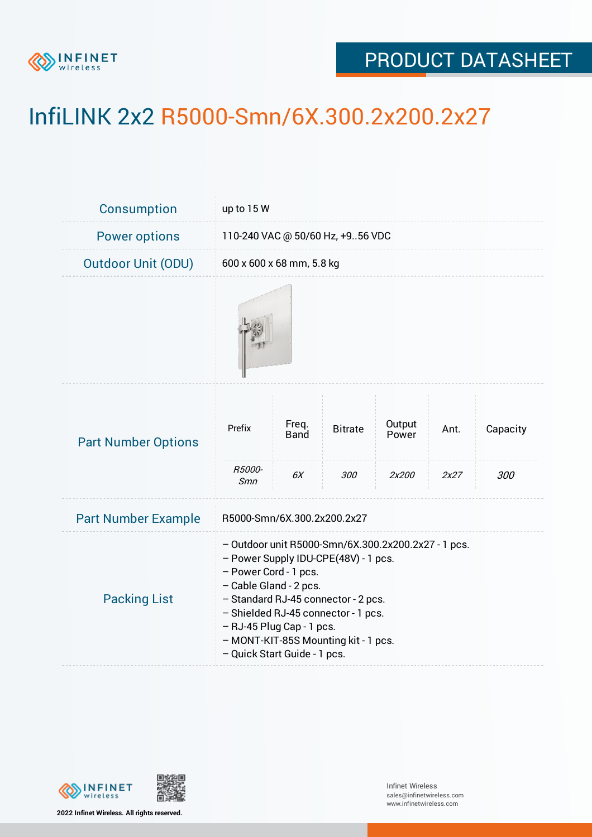

## PRODUCT DATASHEET

## InfiLINK 2x2 R5000-Smn/6X.300.2x200.2x27

| <b>Consumption</b>         | up to $15W$                                                                                                                                                                                                                                                                                                                       |                      |                |                 |      |          |  |  |
|----------------------------|-----------------------------------------------------------------------------------------------------------------------------------------------------------------------------------------------------------------------------------------------------------------------------------------------------------------------------------|----------------------|----------------|-----------------|------|----------|--|--|
| <b>Power options</b>       | 110-240 VAC @ 50/60 Hz, +956 VDC                                                                                                                                                                                                                                                                                                  |                      |                |                 |      |          |  |  |
| <b>Outdoor Unit (ODU)</b>  | 600 x 600 x 68 mm, 5.8 kg                                                                                                                                                                                                                                                                                                         |                      |                |                 |      |          |  |  |
|                            |                                                                                                                                                                                                                                                                                                                                   |                      |                |                 |      |          |  |  |
| <b>Part Number Options</b> | Prefix<br>R5000-                                                                                                                                                                                                                                                                                                                  | Freq.<br><b>Band</b> | <b>Bitrate</b> | Output<br>Power | Ant. | Capacity |  |  |
|                            | Smn                                                                                                                                                                                                                                                                                                                               | 6X                   | 300            | 2x200           | 2x27 | 300      |  |  |
| <b>Part Number Example</b> | R5000-Smn/6X.300.2x200.2x27                                                                                                                                                                                                                                                                                                       |                      |                |                 |      |          |  |  |
| <b>Packing List</b>        | - Outdoor unit R5000-Smn/6X.300.2x200.2x27 - 1 pcs.<br>- Power Supply IDU-CPE(48V) - 1 pcs.<br>- Power Cord - 1 pcs.<br>- Cable Gland - 2 pcs.<br>- Standard RJ-45 connector - 2 pcs.<br>- Shielded RJ-45 connector - 1 pcs.<br>- RJ-45 Plug Cap - 1 pcs.<br>- MONT-KIT-85S Mounting kit - 1 pcs.<br>- Quick Start Guide - 1 pcs. |                      |                |                 |      |          |  |  |



**2022 Infinet Wireless. All rights reserved.**

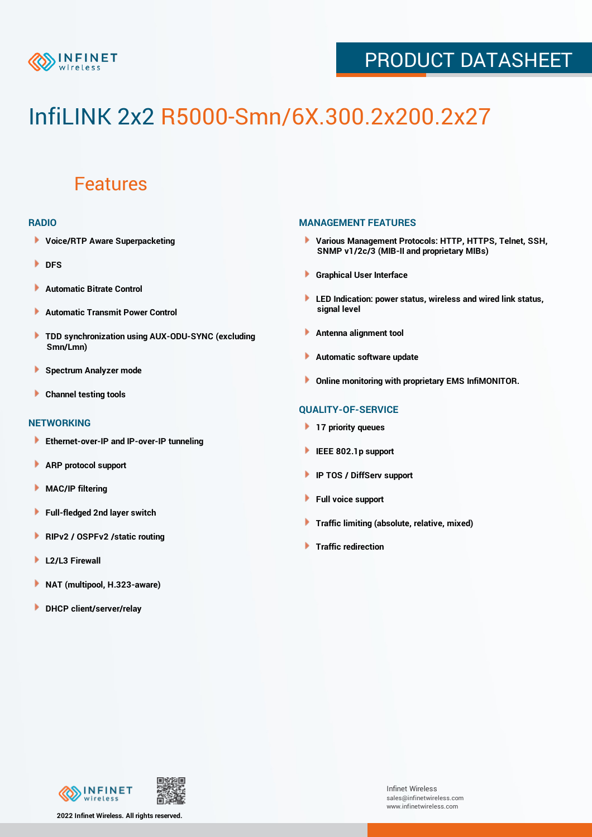

## PRODUCT DATASHEET

# InfiLINK 2x2 R5000-Smn/6X.300.2x200.2x27

### Features

#### **RADIO**

- **Voice/RTP Aware Superpacketing**
- **DFS**
- **Automatic Bitrate Control** Þ
- Þ **Automatic Transmit Power Control**
- ь **TDD synchronization using AUX-ODU-SYNC (excluding Smn/Lmn)**
- **Spectrum Analyzer mode** ۰
- **Channel testing tools** ١

#### **NETWORKING**

- **Ethernet-over-IP and IP-over-IP tunneling**
- Þ **ARP protocol support**
- ۱ **MAC/IP filtering**
- Þ **Full-fledged 2nd layer switch**
- Þ **RIPv2 / OSPFv2 /static routing**
- **L2/L3 Firewall** Þ
- **NAT (multipool, H.323-aware)** Þ
- Þ **DHCP client/server/relay**

#### **MANAGEMENT FEATURES**

- **Various Management Protocols: HTTP, HTTPS, Telnet, SSH, SNMP v1/2c/3 (MIB-II and proprietary MIBs)**
- **Graphical User Interface**
- **LED Indication: power status, wireless and wired link status, signal level**
- **Antenna alignment tool**
- ٠ **Automatic software update**
- **Online monitoring with proprietary EMS InfiMONITOR.**

#### **QUALITY-OF-SERVICE**

- **17 priority queues**
- **IEEE 802.1p support**
- **IP TOS / DiffServ support**
- ٠ **Full voice support**
- **Traffic limiting (absolute, relative, mixed)** ٠
- **Traffic redirection**